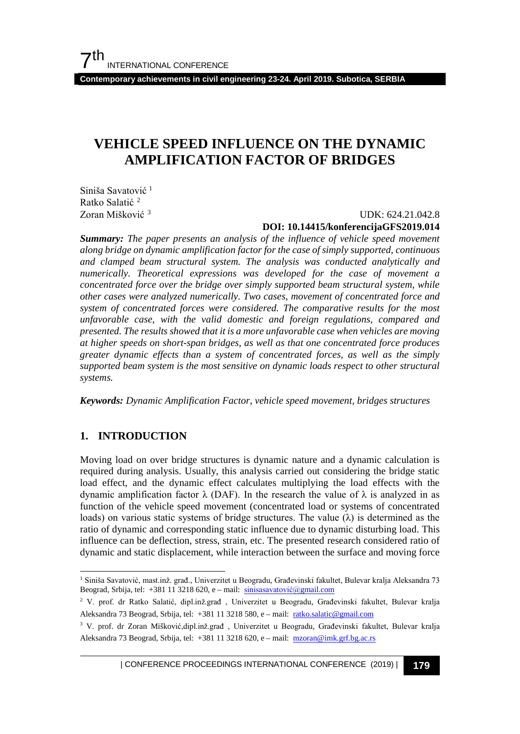**Contemporary achievements in civil engineering 23-24. April 2019. Subotica, SERBIA**

# **VEHICLE SPEED INFLUENCE ON THE DYNAMIC AMPLIFICATION FACTOR OF BRIDGES**

Siniša Savatović<sup>[1](#page-0-0)</sup> Ratko Salatić<sup>[2](#page-0-1)</sup> Zoran Mišković [3](#page-0-2)

#### UDK: 624.21.042.8 **DOI: 10.14415/konferencijaGFS2019.014**

*Summary: The paper presents an analysis of the influence of vehicle speed movement along bridge on dynamic amplification factor for the case of simply supported, continuous and clamped beam structural system. The analysis was conducted analytically and numerically. Theoretical expressions was developed for the case of movement a concentrated force over the bridge over simply supported beam structural system, while other cases were analyzed numerically. Two cases, movement of concentrated force and system of concentrated forces were considered. The comparative results for the most unfavorable case, with the valid domestic and foreign regulations, compared and presented. The results showed that it is a more unfavorable case when vehicles are moving at higher speeds on short-span bridges, as well as that one concentrated force produces greater dynamic effects than a system of concentrated forces, as well as the simply supported beam system is the most sensitive on dynamic loads respect to other structural systems.*

*Keywords: Dynamic Amplification Factor, vehicle speed movement, bridges structures*

### **1. INTRODUCTION**

Moving load on over bridge structures is dynamic nature and a dynamic calculation is required during analysis. Usually, this analysis carried out considering the bridge static load effect, and the dynamic effect calculates multiplying the load effects with the dynamic amplification factor λ (DAF). In the research the value of λ is analyzed in as function of the vehicle speed movement (concentrated load or systems of concentrated loads) on various static systems of bridge structures. The value  $(\lambda)$  is determined as the ratio of dynamic and corresponding static influence due to dynamic disturbing load. This influence can be deflection, stress, strain, etc. The presented research considered ratio of dynamic and static displacement, while interaction between the surface and moving force

| CONFERENCE PROCEEDINGS INTERNATIONAL CONFERENCE (2019) <sup>|</sup>**179**

<span id="page-0-0"></span> <sup>1</sup> Siniša Savatović, mast.inž. građ., Univerzitet u Beogradu, Građevinski fakultet, Bulevar kralja Aleksandra 73 Beograd, Srbija, tel: +381 11 3218 620, e – mail: [sinisasavatović@](mailto:sinisasavatovi%C4%87@gmail.com)gmail.com

<span id="page-0-1"></span><sup>2</sup> V. prof. dr Ratko Salatić, dipl.inž.građ , Univerzitet u Beogradu, Građevinski fakultet, Bulevar kralja Aleksandra 73 Beograd, Srbija, tel: +381 11 3218 580, e – mail: [ratko.salatic@gmail.com](mailto:ratko.salatic@gmail.com)

<span id="page-0-2"></span><sup>3</sup> V. prof. dr Zoran Mišković,dipl.inž.građ , Univerzitet u Beogradu, Građevinski fakultet, Bulevar kralja Aleksandra 73 Beograd, Srbija, tel: +381 11 3218 620, e – mail: [mzoran@imk.grf.bg.ac.rs](mailto:mzoran@imk.grf.bg.ac.rs)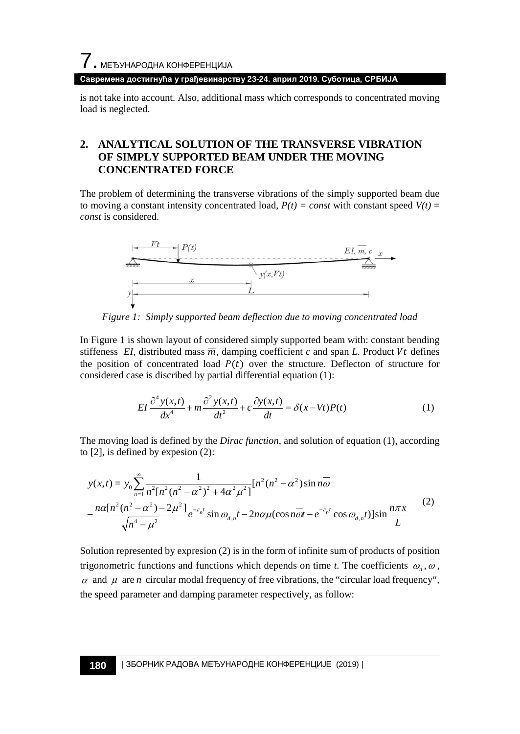**Савремена достигнућа у грађевинарству 23-24. април 2019. Суботица, СРБИЈА**

is not take into account. Also, additional mass which corresponds to concentrated moving load is neglected.

### **2. ANALYTICAL SOLUTION OF THE TRANSVERSE VIBRATION OF SIMPLY SUPPORTED BEAM UNDER THE MOVING CONCENTRATED FORCE**

The problem of determining the transverse vibrations of the simply supported beam due to moving a constant intensity concentrated load,  $P(t) = const$  with constant speed  $V(t) =$ *const* is considered.



*Figure 1: Simply supported beam deflection due to moving concentrated load*

In Figure 1 is shown layout of considered simply supported beam with: constant bending stiffeness *EI*, distributed mass  $\overline{m}$ , damping coefficient *c* and span *L*. Product *Vt* defines the position of concentrated load  $P(t)$  over the structure. Deflecton of structure for considered case is discribed by partial differential equation (1):

$$
EI\frac{\partial^4 y(x,t)}{dx^4} + m\frac{\partial^2 y(x,t)}{dt^2} + c\frac{\partial y(x,t)}{dt} = \delta(x - Vt)P(t)
$$
 (1)

The moving load is defined by the *Dirac function*, and solution of equation (1), according to [2], is defined by expesion (2):

$$
y(x,t) = y_0 \sum_{n=1}^{\infty} \frac{1}{n^2 [n^2 (n^2 - \alpha^2)^2 + 4\alpha^2 \mu^2]} [n^2 (n^2 - \alpha^2) \sin n\overline{\omega} - \frac{n\alpha [n^2 (n^2 - \alpha^2) - 2\mu^2]}{\sqrt{n^4 - \mu^2}} e^{-\epsilon_n t} \sin \omega_{d,n} t - 2n\alpha \mu (\cos n\overline{\omega}t - e^{-\epsilon_n t} \cos \omega_{d,n} t)] \sin \frac{n\pi x}{L}
$$
(2)

Solution represented by expresion (2) is in the form of infinite sum of products of position trigonometric functions and functions which depends on time *t*. The coefficients  $\omega_n$ ,  $\omega$ ,  $\alpha$  and  $\mu$  are *n* circular modal frequency of free vibrations, the "circular load frequency", the speed parameter and damping parameter respectively, as follow: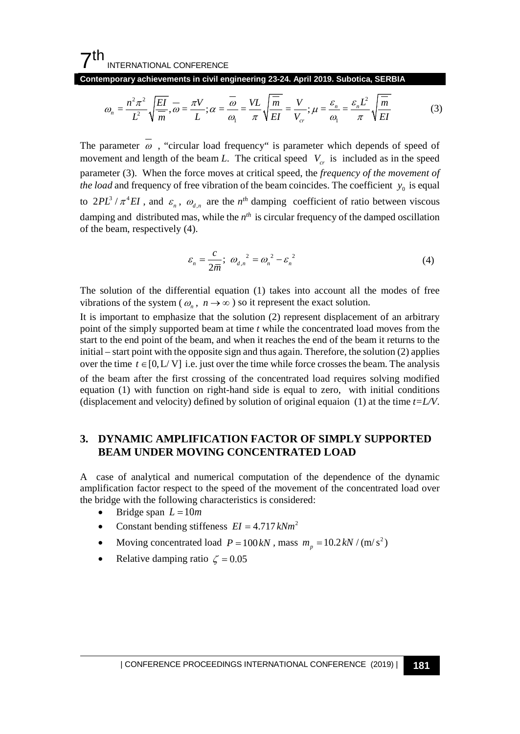**Contemporary achievements in civil engineering 23-24. April 2019. Subotica, SERBIA**

$$
\omega_n = \frac{n^2 \pi^2}{L^2} \sqrt{\frac{EI}{m}}, \overline{\omega} = \frac{\pi V}{L}; \alpha = \frac{\overline{\omega}}{\omega_1} = \frac{VL}{\pi} \sqrt{\frac{\overline{m}}{EI}} = \frac{V}{V_{cr}}; \mu = \frac{\varepsilon_n}{\omega_1} = \frac{\varepsilon_n L^2}{\pi} \sqrt{\frac{\overline{m}}{EI}} \tag{3}
$$

The parameter  $\overline{\omega}$ , "circular load frequency" is parameter which depends of speed of movement and length of the beam *L*. The critical speed  $V_{cr}$  is included as in the speed parameter (3). When the force moves at critical speed, the *frequency of the movement of the load* and frequency of free vibration of the beam coincides. The coefficient  $y_0$  is equal to  $2PL^3 / \pi^4 EI$ , and  $\varepsilon_n$ ,  $\omega_{d_n}$  are the  $n^{th}$  damping coefficient of ratio between viscous damping and distributed mas, while the  $n<sup>th</sup>$  is circular frequency of the damped oscillation of the beam, respectively (4).

$$
\varepsilon_n = \frac{c}{2\overline{m}}; \ \omega_{d,n}^2 = \omega_n^2 - \varepsilon_n^2 \tag{4}
$$

The solution of the differential equation (1) takes into account all the modes of free vibrations of the system ( $\omega_n$ ,  $n \to \infty$ ) so it represent the exact solution.

It is important to emphasize that the solution (2) represent displacement of an arbitrary point of the simply supported beam at time *t* while the concentrated load moves from the start to the end point of the beam, and when it reaches the end of the beam it returns to the initial – start point with the opposite sign and thus again. Therefore, the solution (2) applies over the time  $t \in [0, L/V]$  i.e. just over the time while force crosses the beam. The analysis of the beam after the first crossing of the concentrated load requires solving modified equation (1) with function on right-hand side is equal to zero, with initial conditions (displacement and velocity) defined by solution of original equaion (1) at the time *t=L/V*.

#### **3. DYNAMIC AMPLIFICATION FACTOR OF SIMPLY SUPPORTED BEAM UNDER MOVING CONCENTRATED LOAD**

A case of analytical and numerical computation of the dependence of the dynamic amplification factor respect to the speed of the movement of the concentrated load over the bridge with the following characteristics is considered:

- Bridge span  $L = 10m$
- Constant bending stiffeness  $EI = 4.717 kNm^2$
- Moving concentrated load  $P = 100 kN$ , mass  $m_p = 10.2 kN / (m/s^2)$
- Relative damping ratio  $\zeta = 0.05$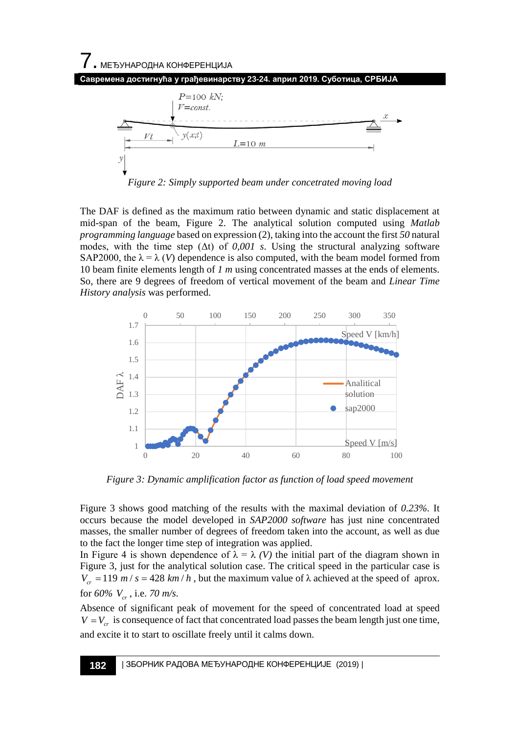

*Figure 2: Simply supported beam under concetrated moving load*

The DAF is defined as the maximum ratio between dynamic and static displacement at mid-span of the beam, Figure 2. The analytical solution computed using *Matlab programming language* based on expression (2), taking into the account the first *50* natural modes, with the time step  $(\Delta t)$  of 0,001 s. Using the structural analyzing software SAP2000, the  $\lambda = \lambda$  (*V*) dependence is also computed, with the beam model formed from 10 beam finite elements length of *1 m* using concentrated masses at the ends of elements. So, there are 9 degrees of freedom of vertical movement of the beam and *Linear Time History analysis* was performed.



*Figure 3: Dynamic amplification factor as function of load speed movement* 

Figure 3 shows good matching of the results with the maximal deviation of *0.23%.* It occurs because the model developed in *SAP2000 software* has just nine concentrated masses, the smaller number of degrees of freedom taken into the account, as well as due to the fact the longer time step of integration was applied.

In Figure 4 is shown dependence of  $\lambda = \lambda$  *(V)* the initial part of the diagram shown in Figure 3, just for the analytical solution case. The critical speed in the particular case is  $V_{cr} = 119 \ m/s = 428 \ km/h$ , but the maximum value of  $\lambda$  achieved at the speed of aprox. for 60%  $V_{cr}$ , i.e. 70 m/s.

Absence of significant peak of movement for the speed of concentrated load at speed  $V = V_{cr}$  is consequence of fact that concentrated load passes the beam length just one time, and excite it to start to oscillate freely until it calms down.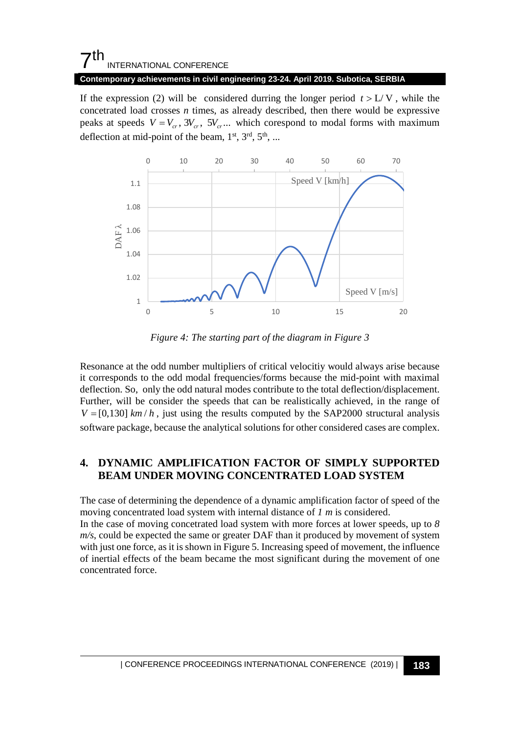#### **Contemporary achievements in civil engineering 23-24. April 2019. Subotica, SERBIA**

If the expression (2) will be considered durring the longer period  $t > L/V$ , while the concetrated load crosses *n* times, as already described, then there would be expressive peaks at speeds  $V = V_{cr}$ ,  $3V_{cr}$ ,  $5V_{cr}$ ... which corespond to modal forms with maximum deflection at mid-point of the beam,  $1<sup>st</sup>$ ,  $3<sup>rd</sup>$ ,  $5<sup>th</sup>$ , ...



*Figure 4: The starting part of the diagram in Figure 3*

Resonance at the odd number multipliers of critical velocitiy would always arise because it corresponds to the odd modal frequencies/forms because the mid-point with maximal deflection. So, only the odd natural modes contribute to the total deflection/displacement. Further, will be consider the speeds that can be realistically achieved, in the range of  $V = [0,130]$  km/h, just using the results computed by the SAP2000 structural analysis software package, because the analytical solutions for other considered cases are complex.

### **4. DYNAMIC AMPLIFICATION FACTOR OF SIMPLY SUPPORTED BEAM UNDER MOVING CONCENTRATED LOAD SYSTEM**

The case of determining the dependence of a dynamic amplification factor of speed of the moving concentrated load system with internal distance of *1 m* is considered.

In the case of moving concetrated load system with more forces at lower speeds, up to *8 m/s*, could be expected the same or greater DAF than it produced by movement of system with just one force, as it is shown in Figure 5. Increasing speed of movement, the influence of inertial effects of the beam became the most significant during the movement of one concentrated force.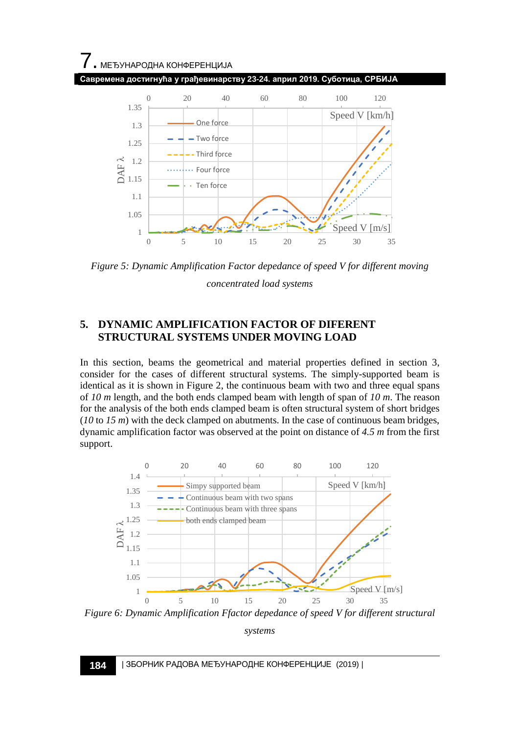

*Figure 5: Dynamic Amplification Factor depedance of speed V for different moving* 

*concentrated load systems*

### **5. DYNAMIC AMPLIFICATION FACTOR OF DIFERENT STRUCTURAL SYSTEMS UNDER MOVING LOAD**

In this section, beams the geometrical and material properties defined in section 3, consider for the cases of different structural systems. The simply-supported beam is identical as it is shown in Figure 2, the continuous beam with two and three equal spans of *10 m* length, and the both ends clamped beam with length of span of *10 m*. The reason for the analysis of the both ends clamped beam is often structural system of short bridges (*10* to *15 m*) with the deck clamped on abutments. In the case of continuous beam bridges, dynamic amplification factor was observed at the point on distance of *4.5 m* from the first support.



*systems*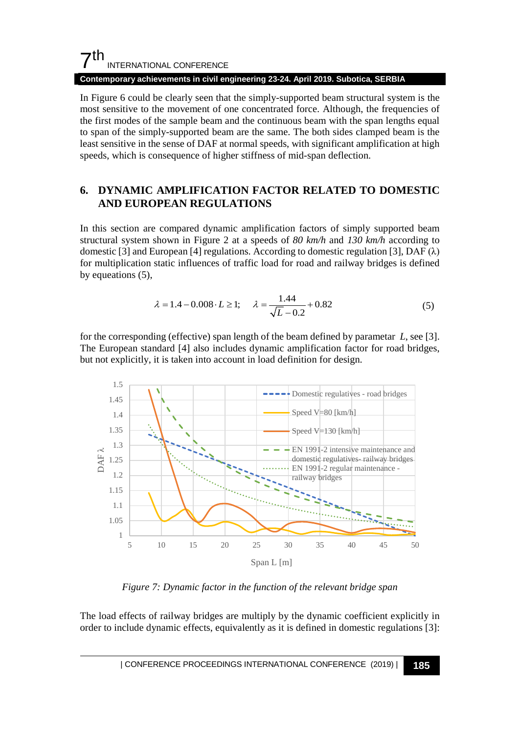#### **Contemporary achievements in civil engineering 23-24. April 2019. Subotica, SERBIA**

In Figure 6 could be clearly seen that the simply-supported beam structural system is the most sensitive to the movement of one concentrated force. Although, the frequencies of the first modes of the sample beam and the continuous beam with the span lengths equal to span of the simply-supported beam are the same. The both sides clamped beam is the least sensitive in the sense of DAF at normal speeds, with significant amplification at high speeds, which is consequence of higher stiffness of mid-span deflection.

### **6. DYNAMIC AMPLIFICATION FACTOR RELATED TO DOMESTIC AND EUROPEAN REGULATIONS**

In this section are compared dynamic amplification factors of simply supported beam structural system shown in Figure 2 at a speeds of *80 km/h* and *130 km/h* according to domestic [3] and European [4] regulations. According to domestic regulation [3], DAF  $(\lambda)$ for multiplication static influences of traffic load for road and railway bridges is defined by equeations (5),

$$
\lambda = 1.4 - 0.008 \cdot L \ge 1;
$$
  $\lambda = \frac{1.44}{\sqrt{L} - 0.2} + 0.82$  (5)

for the corresponding (effective) span length of the beam defined by parametar *L*, see [3]. The European standard [4] also includes dynamic amplification factor for road bridges, but not explicitly, it is taken into account in load definition for design.



*Figure 7: Dynamic factor in the function of the relevant bridge span*

The load effects of railway bridges are multiply by the dynamic coefficient explicitly in order to include dynamic effects, equivalently as it is defined in domestic regulations [3]: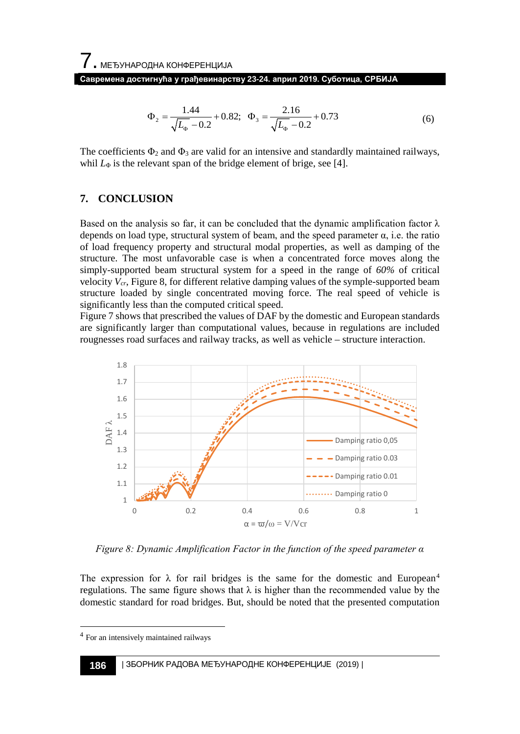$$
\Phi_2 = \frac{1.44}{\sqrt{L_\Phi} - 0.2} + 0.82; \quad \Phi_3 = \frac{2.16}{\sqrt{L_\Phi} - 0.2} + 0.73\tag{6}
$$

The coefficients  $\Phi_2$  and  $\Phi_3$  are valid for an intensive and standardly maintained railways, whil  $L_{\Phi}$  is the relevant span of the bridge element of brige, see [4].

#### **7. CONCLUSION**

Based on the analysis so far, it can be concluded that the dynamic amplification factor  $\lambda$ depends on load type, structural system of beam, and the speed parameter  $\alpha$ , i.e. the ratio of load frequency property and structural modal properties, as well as damping of the structure. The most unfavorable case is when a concentrated force moves along the simply-supported beam structural system for a speed in the range of *60%* of critical velocity *Vcr*, Figure 8, for different relative damping values of the symple-supported beam structure loaded by single concentrated moving force. The real speed of vehicle is significantly less than the computed critical speed.

Figure 7 shows that prescribed the values of DAF by the domestic and European standards are significantly larger than computational values, because in regulations are included rougnesses road surfaces and railway tracks, as well as vehicle – structure interaction.



*Figure 8: Dynamic Amplification Factor in the function of the speed parameter α*

The expression for  $\lambda$  for rail bridges is the same for the domestic and European<sup>[4](#page-7-0)</sup> regulations. The same figure shows that  $\lambda$  is higher than the recommended value by the domestic standard for road bridges. But, should be noted that the presented computation

<span id="page-7-0"></span> <sup>4</sup> For an intensively maintained railways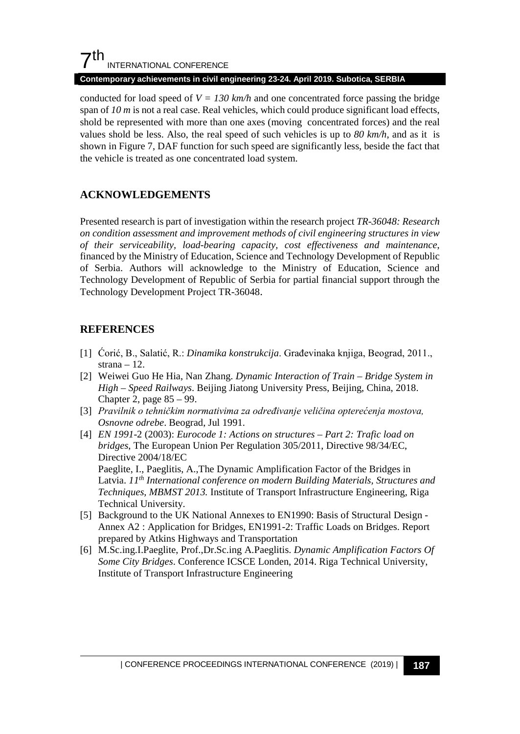#### **Contemporary achievements in civil engineering 23-24. April 2019. Subotica, SERBIA**

conducted for load speed of  $V = 130$  km/h and one concentrated force passing the bridge span of *10 m* is not a real case. Real vehicles, which could produce significant load effects, shold be represented with more than one axes (moving concentrated forces) and the real values shold be less. Also, the real speed of such vehicles is up to *80 km/h*, and as it is shown in Figure 7, DAF function for such speed are significantly less, beside the fact that the vehicle is treated as one concentrated load system.

# **ACKNOWLEDGEMENTS**

Presented research is part of investigation within the research project *TR-36048: Research on condition assessment and improvement methods of civil engineering structures in view of their serviceability, load-bearing capacity, cost effectiveness and maintenance*, financed by the Ministry of Education, Science and Technology Development of Republic of Serbia. Authors will acknowledge to the Ministry of Education, Science and Technology Development of Republic of Serbia for partial financial support through the Technology Development Project TR-36048.

# **REFERENCES**

- [1] Ćorić, B., Salatić, R.: *Dinamika konstrukcija*. Građevinaka knjiga, Beograd, 2011., strana – 12.
- [2] Weiwei Guo He Hia, Nan Zhang. *Dynamic Interaction of Train – Bridge System in High – Speed Railways*. Beijing Jiatong University Press, Beijing, China, 2018. Chapter 2, page 85 – 99.
- [3] *Pravilnik o tehničkim normativima za određivanje veličina opterećenja mostova, Osnovne odrebe*. Beograd, Jul 1991.
- [4] *EN 1991*-2 (2003): *Eurocode 1: Actions on structures – Part 2: Trafic load on bridges*, The European Union Per Regulation 305/2011, Directive 98/34/EC, Directive 2004/18/EC

Paeglite, I., Paeglitis, A.,The Dynamic Amplification Factor of the Bridges in Latvia. 11<sup>th</sup> International conference on modern Building Materials, Structures and *Techniques, MBMST 2013.* Institute of Transport Infrastructure Engineering, Riga Technical University.

- [5] Background to the UK National Annexes to EN1990: Basis of Structural Design Annex A2 : Application for Bridges, EN1991-2: Traffic Loads on Bridges. Report prepared by Atkins Highways and Transportation
- [6] M.Sc.ing.I.Paeglite, Prof.,Dr.Sc.ing A.Paeglitis. *Dynamic Amplification Factors Of Some City Bridges*. Conference ICSCE Londen, 2014. Riga Technical University, Institute of Transport Infrastructure Engineering